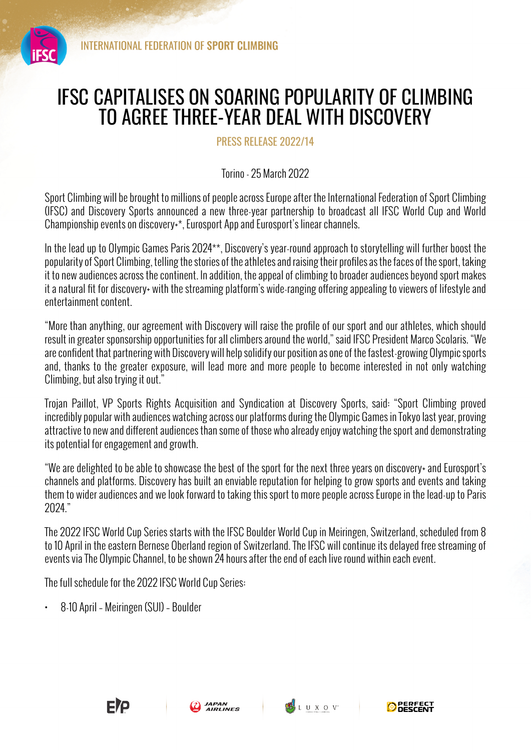

## IFSC CAPITALISES ON SOARING POPULARITY OF CLIMBING TO AGREE THREE-YEAR DEAL WITH DISCOVERY

PRESS RELEASE 2022/14

Torino - 25 March 2022

Sport Climbing will be brought to millions of people across Europe after the International Federation of Sport Climbing (IFSC) and Discovery Sports announced a new three-year partnership to broadcast all IFSC World Cup and World Championship events on discovery+\*, Eurosport App and Eurosport's linear channels.

In the lead up to Olympic Games Paris 2024\*\*, Discovery's year-round approach to storytelling will further boost the popularity of Sport Climbing, telling the stories of the athletes and raising their profiles as the faces of the sport, taking it to new audiences across the continent. In addition, the appeal of climbing to broader audiences beyond sport makes it a natural fit for discovery+ with the streaming platform's wide-ranging offering appealing to viewers of lifestyle and entertainment content.

"More than anything, our agreement with Discovery will raise the profile of our sport and our athletes, which should result in greater sponsorship opportunities for all climbers around the world," said IFSC President Marco Scolaris. "We are confident that partnering with Discovery will help solidify our position as one of the fastest-growing Olympic sports and, thanks to the greater exposure, will lead more and more people to become interested in not only watching Climbing, but also trying it out."

Trojan Paillot, VP Sports Rights Acquisition and Syndication at Discovery Sports, said: "Sport Climbing proved incredibly popular with audiences watching across our platforms during the Olympic Games in Tokyo last year, proving attractive to new and different audiences than some of those who already enjoy watching the sport and demonstrating its potential for engagement and growth.

"We are delighted to be able to showcase the best of the sport for the next three years on discovery+ and Eurosport's channels and platforms. Discovery has built an enviable reputation for helping to grow sports and events and taking them to wider audiences and we look forward to taking this sport to more people across Europe in the lead-up to Paris 2024."

The 2022 IFSC World Cup Series starts with the IFSC Boulder World Cup in Meiringen, Switzerland, scheduled from 8 to 10 April in the eastern Bernese Oberland region of Switzerland. The IFSC will continue its delayed free streaming of events via The Olympic Channel, to be shown 24 hours after the end of each live round within each event.

The full schedule for the 2022 IFSC World Cup Series:

• 8-10 April – Meiringen (SUI) – Boulder